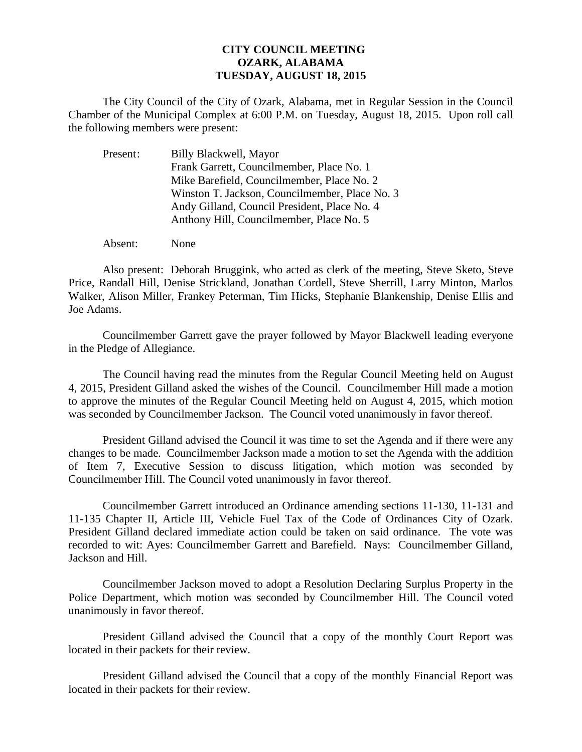## **CITY COUNCIL MEETING OZARK, ALABAMA TUESDAY, AUGUST 18, 2015**

The City Council of the City of Ozark, Alabama, met in Regular Session in the Council Chamber of the Municipal Complex at 6:00 P.M. on Tuesday, August 18, 2015. Upon roll call the following members were present:

| Present: | Billy Blackwell, Mayor                         |
|----------|------------------------------------------------|
|          | Frank Garrett, Councilmember, Place No. 1      |
|          | Mike Barefield, Councilmember, Place No. 2     |
|          | Winston T. Jackson, Councilmember, Place No. 3 |
|          | Andy Gilland, Council President, Place No. 4   |
|          | Anthony Hill, Councilmember, Place No. 5       |
|          |                                                |

Absent: None

Also present: Deborah Bruggink, who acted as clerk of the meeting, Steve Sketo, Steve Price, Randall Hill, Denise Strickland, Jonathan Cordell, Steve Sherrill, Larry Minton, Marlos Walker, Alison Miller, Frankey Peterman, Tim Hicks, Stephanie Blankenship, Denise Ellis and Joe Adams.

Councilmember Garrett gave the prayer followed by Mayor Blackwell leading everyone in the Pledge of Allegiance.

The Council having read the minutes from the Regular Council Meeting held on August 4, 2015, President Gilland asked the wishes of the Council. Councilmember Hill made a motion to approve the minutes of the Regular Council Meeting held on August 4, 2015, which motion was seconded by Councilmember Jackson. The Council voted unanimously in favor thereof.

President Gilland advised the Council it was time to set the Agenda and if there were any changes to be made. Councilmember Jackson made a motion to set the Agenda with the addition of Item 7, Executive Session to discuss litigation, which motion was seconded by Councilmember Hill. The Council voted unanimously in favor thereof.

 Councilmember Garrett introduced an Ordinance amending sections 11-130, 11-131 and 11-135 Chapter II, Article III, Vehicle Fuel Tax of the Code of Ordinances City of Ozark. President Gilland declared immediate action could be taken on said ordinance. The vote was recorded to wit: Ayes: Councilmember Garrett and Barefield. Nays: Councilmember Gilland, Jackson and Hill.

Councilmember Jackson moved to adopt a Resolution Declaring Surplus Property in the Police Department, which motion was seconded by Councilmember Hill. The Council voted unanimously in favor thereof.

 President Gilland advised the Council that a copy of the monthly Court Report was located in their packets for their review.

President Gilland advised the Council that a copy of the monthly Financial Report was located in their packets for their review.